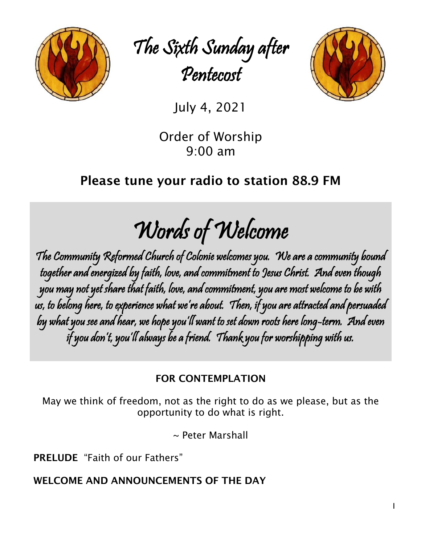

The Sixth Sunday after Pentecost



July 4, 2021

Order of Worship 9:00 am

# Please tune your radio to station 88.9 FM

Words of Welcome

The Community Reformed Church of Colonie welcomes you. We are a community bound together and energized by faith, love, and commitment to Jesus Christ. And even though you may not yet share that faith, love, and commitment, you are most welcome to be with us, to belong here, to experience what we're about. Then, if you are attracted and persuaded by what you see and hear, we hope you'll want to set down roots here long-term. And even if you don't, you'll always be a friend. Thank you for worshipping with us.

# FOR CONTEMPLATION

[May we think of freedom, not as the right to do as we please, but as the](https://www.azquotes.com/quote/188317?ref=freedom)  [opportunity to do what is right.](https://www.azquotes.com/quote/188317?ref=freedom)

~ Peter Marshall

PRELUDE "Faith of our Fathers"

WELCOME AND ANNOUNCEMENTS OF THE DAY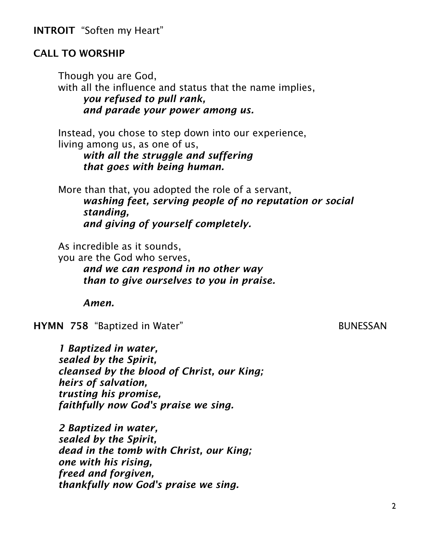INTROIT "Soften my Heart"

#### CALL TO WORSHIP

Though you are God, with all the influence and status that the name implies, *you refused to pull rank, and parade your power among us.*

Instead, you chose to step down into our experience, living among us, as one of us,

> *with all the struggle and suffering that goes with being human.*

More than that, you adopted the role of a servant, *washing feet, serving people of no reputation or social standing, and giving of yourself completely.*

As incredible as it sounds,

you are the God who serves,

*and we can respond in no other way than to give ourselves to you in praise.*

*Amen.*

HYMN 758 "Baptized in Water" **BUNESSAN** 

*1 Baptized in water, sealed by the Spirit, cleansed by the blood of Christ, our King; heirs of salvation, trusting his promise, faithfully now God's praise we sing.*

*2 Baptized in water, sealed by the Spirit, dead in the tomb with Christ, our King; one with his rising, freed and forgiven, thankfully now God's praise we sing.*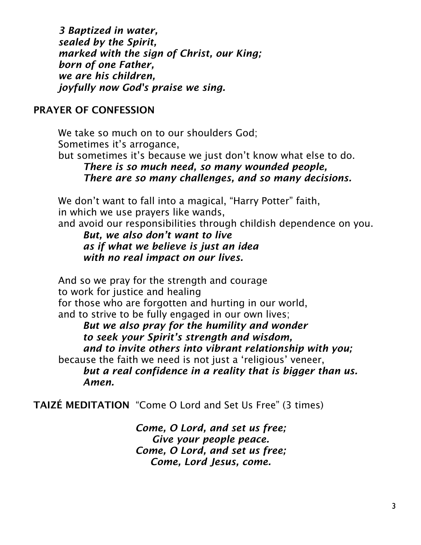*3 Baptized in water, sealed by the Spirit, marked with the sign of Christ, our King; born of one Father, we are his children, joyfully now God's praise we sing.*

#### PRAYER OF CONFESSION

We take so much on to our shoulders God: Sometimes it's arrogance, but sometimes it's because we just don't know what else to do.

# *There is so much need, so many wounded people, There are so many challenges, and so many decisions.*

We don't want to fall into a magical, "Harry Potter" faith, in which we use prayers like wands,

and avoid our responsibilities through childish dependence on you.

*But, we also don't want to live as if what we believe is just an idea with no real impact on our lives.*

And so we pray for the strength and courage to work for justice and healing for those who are forgotten and hurting in our world, and to strive to be fully engaged in our own lives; *But we also pray for the humility and wonder*

*to seek your Spirit's strength and wisdom, and to invite others into vibrant relationship with you;* because the faith we need is not just a 'religious' veneer, *but a real confidence in a reality that is bigger than us. Amen.*

TAIZÉ MEDITATION "Come O Lord and Set Us Free" (3 times)

*Come, O Lord, and set us free; Give your people peace. Come, O Lord, and set us free; Come, Lord Jesus, come.*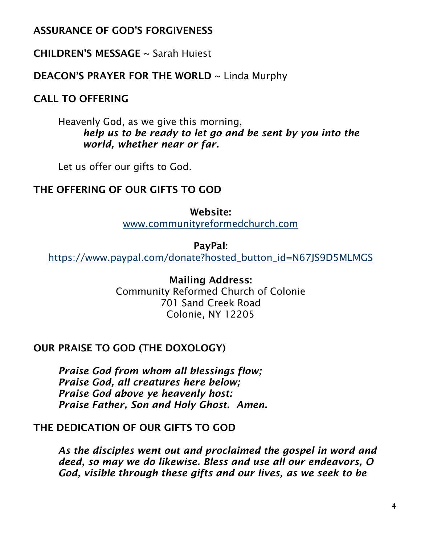### ASSURANCE OF GOD'S FORGIVENESS

CHILDREN'S MESSAGE ~ Sarah Huiest

#### DEACON'S PRAYER FOR THE WORLD ~ Linda Murphy

# CALL TO OFFERING

Heavenly God, as we give this morning, *help us to be ready to let go and be sent by you into the world, whether near or far.*

Let us offer our gifts to God.

#### THE OFFERING OF OUR GIFTS TO GOD

Website: [www.communityreformedchurch.com](http://www.communityreformedchurch.com/)

PayPal: [https://www.paypal.com/donate?hosted\\_button\\_id=N67JS9D5MLMGS](https://www.paypal.com/donate?hosted_button_id=N67JS9D5MLMGS)

> Mailing Address: Community Reformed Church of Colonie 701 Sand Creek Road Colonie, NY 12205

#### OUR PRAISE TO GOD (THE DOXOLOGY)

*Praise God from whom all blessings flow; Praise God, all creatures here below; Praise God above ye heavenly host: Praise Father, Son and Holy Ghost. Amen.*

#### THE DEDICATION OF OUR GIFTS TO GOD

*As the disciples went out and proclaimed the gospel in word and deed, so may we do likewise. Bless and use all our endeavors, O God, visible through these gifts and our lives, as we seek to be*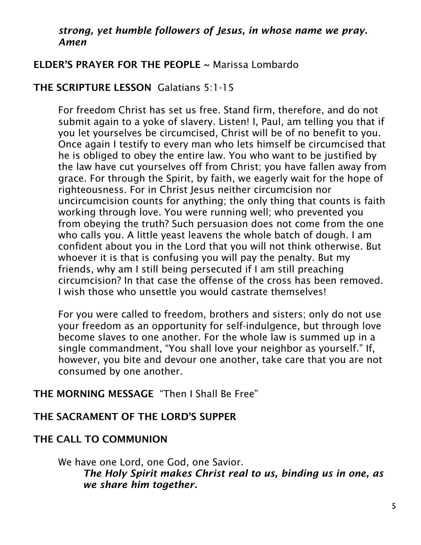#### *strong, yet humble followers of Jesus, in whose name we pray. Amen*

# ELDER'S PRAYER FOR THE PEOPLE ~ Marissa Lombardo

# THE SCRIPTURE LESSON Galatians 5:1-15

For freedom Christ has set us free. Stand firm, therefore, and do not submit again to a yoke of slavery. Listen! I, Paul, am telling you that if you let yourselves be circumcised, Christ will be of no benefit to you. Once again I testify to every man who lets himself be circumcised that he is obliged to obey the entire law. You who want to be justified by the law have cut yourselves off from Christ; you have fallen away from grace. For through the Spirit, by faith, we eagerly wait for the hope of righteousness. For in Christ Jesus neither circumcision nor uncircumcision counts for anything; the only thing that counts is faith working through love. You were running well; who prevented you from obeying the truth? Such persuasion does not come from the one who calls you. A little yeast leavens the whole batch of dough. I am confident about you in the Lord that you will not think otherwise. But whoever it is that is confusing you will pay the penalty. But my friends, why am I still being persecuted if I am still preaching circumcision? In that case the offense of the cross has been removed. I wish those who unsettle you would castrate themselves!

For you were called to freedom, brothers and sisters; only do not use your freedom as an opportunity for self-indulgence, but through love become slaves to one another. For the whole law is summed up in a single commandment, "You shall love your neighbor as yourself." If, however, you bite and devour one another, take care that you are not consumed by one another.

# THE MORNING MESSAGE "Then I Shall Be Free"

# THE SACRAMENT OF THE LORD'S SUPPER

# THE CALL TO COMMUNION

We have one Lord, one God, one Savior. *The Holy Spirit makes Christ real to us, binding us in one, as we share him together.*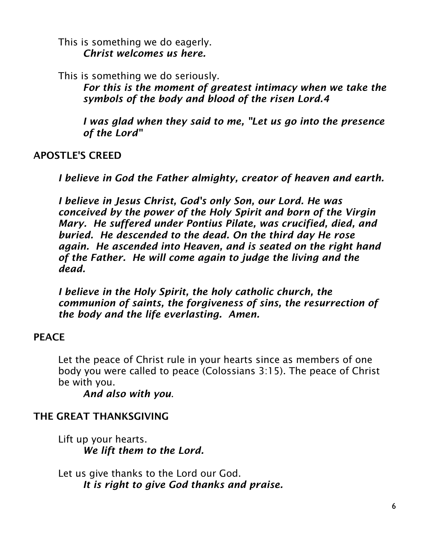This is something we do eagerly. *Christ welcomes us here.*

This is something we do seriously.

*For this is the moment of greatest intimacy when we take the symbols of the body and blood of the risen Lord.4*

*I was glad when they said to me, "Let us go into the presence of the Lord"*

# APOSTLE'S CREED

*I believe in God the Father almighty, creator of heaven and earth.*

*I believe in Jesus Christ, God's only Son, our Lord. He was conceived by the power of the Holy Spirit and born of the Virgin Mary. He suffered under Pontius Pilate, was crucified, died, and buried. He descended to the dead. On the third day He rose again. He ascended into Heaven, and is seated on the right hand of the Father. He will come again to judge the living and the dead.*

*I believe in the Holy Spirit, the holy catholic church, the communion of saints, the forgiveness of sins, the resurrection of the body and the life everlasting. Amen.*

# **PEACE**

Let the peace of Christ rule in your hearts since as members of one body you were called to peace (Colossians 3:15). The peace of Christ be with you.

*And also with you*.

# THE GREAT THANKSGIVING

Lift up your hearts. *We lift them to the Lord.*

Let us give thanks to the Lord our God. *It is right to give God thanks and praise.*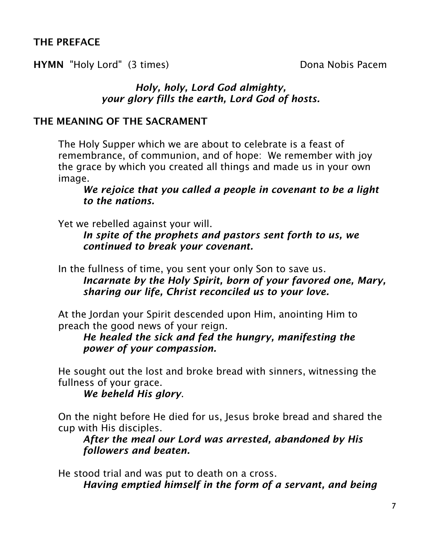# THE PREFACE

HYMN "Holy Lord" (3 times) Dona Nobis Pacem

### *Holy, holy, Lord God almighty, your glory fills the earth, Lord God of hosts.*

#### THE MEANING OF THE SACRAMENT

The Holy Supper which we are about to celebrate is a feast of remembrance, of communion, and of hope: We remember with joy the grace by which you created all things and made us in your own image.

*We rejoice that you called a people in covenant to be a light to the nations.*

Yet we rebelled against your will.

*In spite of the prophets and pastors sent forth to us, we continued to break your covenant.*

In the fullness of time, you sent your only Son to save us. *Incarnate by the Holy Spirit, born of your favored one, Mary,* 

*sharing our life, Christ reconciled us to your love.*

At the Jordan your Spirit descended upon Him, anointing Him to preach the good news of your reign.

*He healed the sick and fed the hungry, manifesting the power of your compassion.*

He sought out the lost and broke bread with sinners, witnessing the fullness of your grace.

*We beheld His glory*.

On the night before He died for us, Jesus broke bread and shared the cup with His disciples.

*After the meal our Lord was arrested, abandoned by His followers and beaten.*

He stood trial and was put to death on a cross.

*Having emptied himself in the form of a servant, and being*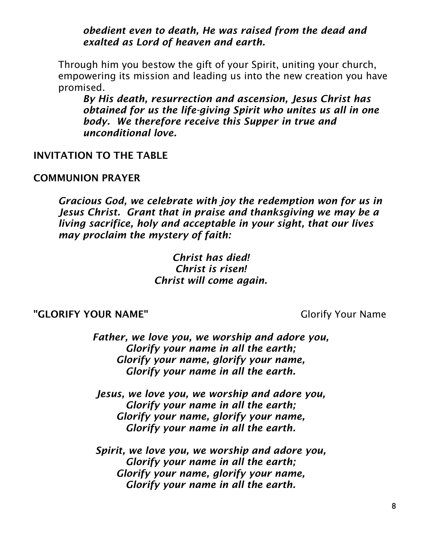*obedient even to death, He was raised from the dead and exalted as Lord of heaven and earth.*

Through him you bestow the gift of your Spirit, uniting your church, empowering its mission and leading us into the new creation you have promised.

*By His death, resurrection and ascension, Jesus Christ has obtained for us the life-giving Spirit who unites us all in one body. We therefore receive this Supper in true and unconditional love.*

#### INVITATION TO THE TABLE

#### COMMUNION PRAYER

*Gracious God, we celebrate with joy the redemption won for us in Jesus Christ. Grant that in praise and thanksgiving we may be a living sacrifice, holy and acceptable in your sight, that our lives may proclaim the mystery of faith:*

> *Christ has died! Christ is risen! Christ will come again.*

#### "GLORIFY YOUR NAME" Glorify Your Name

*Father, we love you, we worship and adore you, Glorify your name in all the earth; Glorify your name, glorify your name, Glorify your name in all the earth.*

*Jesus, we love you, we worship and adore you, Glorify your name in all the earth; Glorify your name, glorify your name, Glorify your name in all the earth.*

*Spirit, we love you, we worship and adore you, Glorify your name in all the earth; Glorify your name, glorify your name, Glorify your name in all the earth.*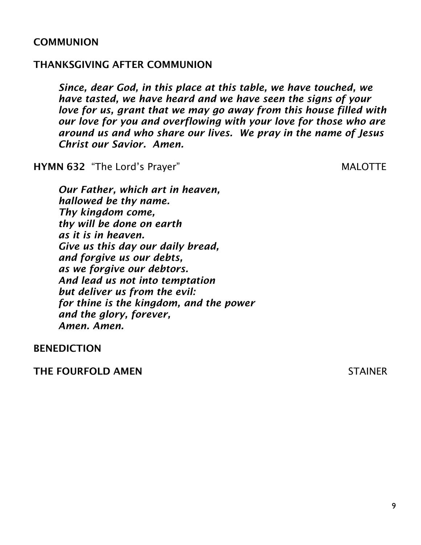#### **COMMUNION**

#### THANKSGIVING AFTER COMMUNION

*Since, dear God, in this place at this table, we have touched, we have tasted, we have heard and we have seen the signs of your love for us, grant that we may go away from this house filled with our love for you and overflowing with your love for those who are around us and who share our lives. We pray in the name of Jesus Christ our Savior. Amen.*

HYMN 632 "The Lord's Prayer" MALOTTE

*Our Father, which art in heaven, hallowed be thy name. Thy kingdom come, thy will be done on earth as it is in heaven. Give us this day our daily bread, and forgive us our debts, as we forgive our debtors. And lead us not into temptation but deliver us from the evil: for thine is the kingdom, and the power and the glory, forever, Amen. Amen.*

BENEDICTION

THE FOURFOLD AMEN STAINER